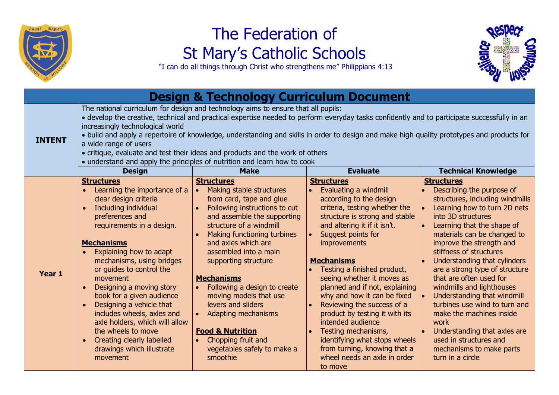

## The Federation of St Mary's Catholic Schools

"I can do all things through Christ who strengthens me" Philippians 4:13

| <b>Design &amp; Technology Curriculum Document</b> |                                                                                                                                                                                                                                                                                                                                                                                                                                                                                                                                                                                                           |                                                                                                                                                                                                                                                                                                                                                                                                                                                                                                         |                                                                                                                                                                                                                                                                                                                                                                                                                                                                                                                                                                                           |                                                                                                                                                                                                                                                                                                                                                                                                                                                                                                                                                                                                                              |  |  |  |
|----------------------------------------------------|-----------------------------------------------------------------------------------------------------------------------------------------------------------------------------------------------------------------------------------------------------------------------------------------------------------------------------------------------------------------------------------------------------------------------------------------------------------------------------------------------------------------------------------------------------------------------------------------------------------|---------------------------------------------------------------------------------------------------------------------------------------------------------------------------------------------------------------------------------------------------------------------------------------------------------------------------------------------------------------------------------------------------------------------------------------------------------------------------------------------------------|-------------------------------------------------------------------------------------------------------------------------------------------------------------------------------------------------------------------------------------------------------------------------------------------------------------------------------------------------------------------------------------------------------------------------------------------------------------------------------------------------------------------------------------------------------------------------------------------|------------------------------------------------------------------------------------------------------------------------------------------------------------------------------------------------------------------------------------------------------------------------------------------------------------------------------------------------------------------------------------------------------------------------------------------------------------------------------------------------------------------------------------------------------------------------------------------------------------------------------|--|--|--|
| <b>INTENT</b>                                      | The national curriculum for design and technology aims to ensure that all pupils:<br>· develop the creative, technical and practical expertise needed to perform everyday tasks confidently and to participate successfully in an<br>increasingly technological world<br>• build and apply a repertoire of knowledge, understanding and skills in order to design and make high quality prototypes and products for<br>a wide range of users<br>• critique, evaluate and test their ideas and products and the work of others<br>• understand and apply the principles of nutrition and learn how to cook |                                                                                                                                                                                                                                                                                                                                                                                                                                                                                                         |                                                                                                                                                                                                                                                                                                                                                                                                                                                                                                                                                                                           |                                                                                                                                                                                                                                                                                                                                                                                                                                                                                                                                                                                                                              |  |  |  |
|                                                    | <b>Design</b>                                                                                                                                                                                                                                                                                                                                                                                                                                                                                                                                                                                             | <b>Make</b>                                                                                                                                                                                                                                                                                                                                                                                                                                                                                             | <b>Evaluate</b>                                                                                                                                                                                                                                                                                                                                                                                                                                                                                                                                                                           | <b>Technical Knowledge</b>                                                                                                                                                                                                                                                                                                                                                                                                                                                                                                                                                                                                   |  |  |  |
| Year 1                                             | <b>Structures</b><br>Learning the importance of a<br>clear design criteria<br>Including individual<br>preferences and<br>requirements in a design.<br><b>Mechanisms</b><br>Explaining how to adapt<br>mechanisms, using bridges<br>or quides to control the<br>movement<br>Designing a moving story<br>book for a given audience<br>Designing a vehicle that<br>$\bullet$<br>includes wheels, axles and<br>axle holders, which will allow<br>the wheels to move<br><b>Creating clearly labelled</b><br>drawings which illustrate<br>movement                                                              | <b>Structures</b><br>Making stable structures<br>from card, tape and glue<br>Following instructions to cut<br>and assemble the supporting<br>structure of a windmill<br>Making functioning turbines<br>and axles which are<br>assembled into a main<br>supporting structure<br><b>Mechanisms</b><br>Following a design to create<br>moving models that use<br>levers and sliders<br>Adapting mechanisms<br><b>Food &amp; Nutrition</b><br>Chopping fruit and<br>vegetables safely to make a<br>smoothie | <b>Structures</b><br>Evaluating a windmill<br>according to the design<br>criteria, testing whether the<br>structure is strong and stable<br>and altering it if it isn't.<br>Suggest points for<br>improvements<br><b>Mechanisms</b><br>Testing a finished product,<br>seeing whether it moves as<br>planned and if not, explaining<br>why and how it can be fixed<br>Reviewing the success of a<br>product by testing it with its<br>intended audience<br>Testing mechanisms,<br>identifying what stops wheels<br>from turning, knowing that a<br>wheel needs an axle in order<br>to move | <b>Structures</b><br>Describing the purpose of<br>structures, including windmills<br>Learning how to turn 2D nets<br>into 3D structures<br>Learning that the shape of<br>materials can be changed to<br>improve the strength and<br>stiffness of structures<br>Understanding that cylinders<br>are a strong type of structure<br>that are often used for<br>windmills and lighthouses<br>Understanding that windmill<br>$\vert \bullet \vert$<br>turbines use wind to turn and<br>make the machines inside<br>work<br>Understanding that axles are<br>used in structures and<br>mechanisms to make parts<br>turn in a circle |  |  |  |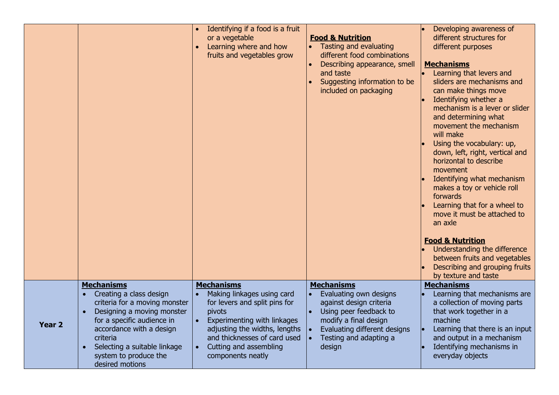|               |                                                                                                                                                                                                                                                                            | Identifying if a food is a fruit<br>or a vegetable<br>Learning where and how<br>fruits and vegetables grow                                                                                                                                | <b>Food &amp; Nutrition</b><br>• Tasting and evaluating<br>different food combinations<br>Describing appearance, smell<br>and taste<br>Suggesting information to be<br>included on packaging  | Developing awareness of<br>different structures for<br>different purposes<br><b>Mechanisms</b><br>Learning that levers and<br>sliders are mechanisms and<br>can make things move<br>Identifying whether a<br>mechanism is a lever or slider<br>and determining what<br>movement the mechanism<br>will make<br>Using the vocabulary: up,<br>down, left, right, vertical and<br>horizontal to describe<br>movement<br>Identifying what mechanism<br>makes a toy or vehicle roll<br>forwards<br>Learning that for a wheel to<br>move it must be attached to<br>an axle |
|---------------|----------------------------------------------------------------------------------------------------------------------------------------------------------------------------------------------------------------------------------------------------------------------------|-------------------------------------------------------------------------------------------------------------------------------------------------------------------------------------------------------------------------------------------|-----------------------------------------------------------------------------------------------------------------------------------------------------------------------------------------------|---------------------------------------------------------------------------------------------------------------------------------------------------------------------------------------------------------------------------------------------------------------------------------------------------------------------------------------------------------------------------------------------------------------------------------------------------------------------------------------------------------------------------------------------------------------------|
|               |                                                                                                                                                                                                                                                                            |                                                                                                                                                                                                                                           |                                                                                                                                                                                               | <b>Food &amp; Nutrition</b><br>Understanding the difference<br>between fruits and vegetables<br>Describing and grouping fruits<br>by texture and taste                                                                                                                                                                                                                                                                                                                                                                                                              |
| <b>Year 2</b> | <b>Mechanisms</b><br>Creating a class design<br>criteria for a moving monster<br>Designing a moving monster<br>$\bullet$<br>for a specific audience in<br>accordance with a design<br>criteria<br>Selecting a suitable linkage<br>system to produce the<br>desired motions | <b>Mechanisms</b><br>Making linkages using card<br>for levers and split pins for<br>pivots<br>Experimenting with linkages<br>adjusting the widths, lengths<br>and thicknesses of card used<br>Cutting and assembling<br>components neatly | <b>Mechanisms</b><br>Evaluating own designs<br>against design criteria<br>Using peer feedback to<br>modify a final design<br>Evaluating different designs<br>Testing and adapting a<br>design | <b>Mechanisms</b><br>Learning that mechanisms are<br>a collection of moving parts<br>that work together in a<br>machine<br>Learning that there is an input<br>and output in a mechanism<br>Identifying mechanisms in<br>everyday objects                                                                                                                                                                                                                                                                                                                            |